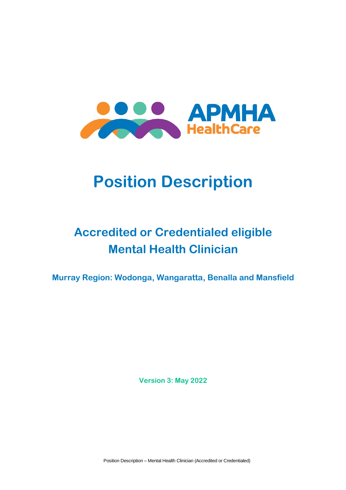

# **Position Description**

## **Accredited or Credentialed eligible Mental Health Clinician**

**Murray Region: Wodonga, Wangaratta, Benalla and Mansfield**

**Version 3: May 2022**

Position Description – Mental Health Clinician (Accredited or Credentialed)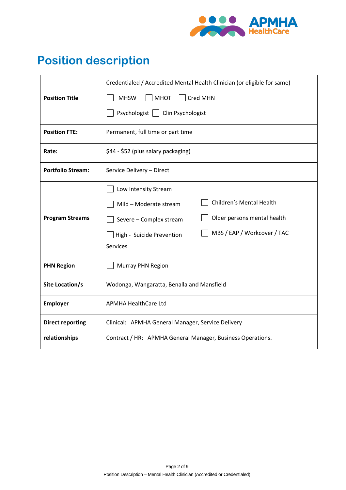

## **Position description**

|                          | Credentialed / Accredited Mental Health Clinician (or eligible for same)                                                  |                                                                                        |
|--------------------------|---------------------------------------------------------------------------------------------------------------------------|----------------------------------------------------------------------------------------|
| <b>Position Title</b>    | <b>MHSW</b><br><b>MHOT</b><br>Cred MHN                                                                                    |                                                                                        |
|                          | Psychologist   Clin Psychologist                                                                                          |                                                                                        |
| <b>Position FTE:</b>     | Permanent, full time or part time                                                                                         |                                                                                        |
| Rate:                    | \$44 - \$52 (plus salary packaging)                                                                                       |                                                                                        |
| <b>Portfolio Stream:</b> | Service Delivery - Direct                                                                                                 |                                                                                        |
| <b>Program Streams</b>   | Low Intensity Stream<br>Mild - Moderate stream<br>Severe - Complex stream<br>High - Suicide Prevention<br><b>Services</b> | Children's Mental Health<br>Older persons mental health<br>MBS / EAP / Workcover / TAC |
| <b>PHN Region</b>        | Murray PHN Region                                                                                                         |                                                                                        |
| Site Location/s          | Wodonga, Wangaratta, Benalla and Mansfield                                                                                |                                                                                        |
| <b>Employer</b>          | <b>APMHA HealthCare Ltd</b>                                                                                               |                                                                                        |
| <b>Direct reporting</b>  | Clinical: APMHA General Manager, Service Delivery                                                                         |                                                                                        |
| relationships            | Contract / HR: APMHA General Manager, Business Operations.                                                                |                                                                                        |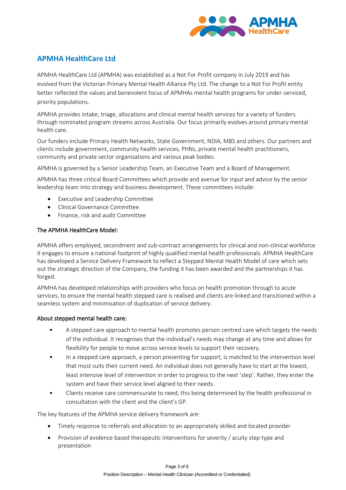

### **APMHA HealthCare Ltd**

APMHA HealthCare Ltd (APMHA) was established as a Not For Profit company in July 2019 and has evolved from the Victorian Primary Mental Health Alliance Pty Ltd. The change to a Not For Profit entity better reflected the values and benevolent focus of APMHAs mental health programs for under-serviced, priority populations.

APMHA provides intake, triage, allocations and clinical mental health services for a variety of funders through nominated program streams across Australia. Our focus primarily evolves around primary mental health care.

Our funders include Primary Health Networks, State Government, NDIA, MBS and others. Our partners and clients include government, community health services, PHNs, private mental health practitioners, community and private sector organisations and various peak bodies.

APMHA is governed by a Senior Leadership Team, an Executive Team and a Board of Management.

APMHA has three critical Board Committees which provide and avenue for input and advice by the senior leadership team into strategy and business development. These committees include:

- Executive and Leadership Committee
- Clinical Governance Committee
- Finance, risk and audit Committee

#### The APMHA HealthCare Model:

APMHA offers employed, secondment and sub-contract arrangements for clinical and non-clinical workforce it engages to ensure a national footprint of highly qualified mental health professionals. APMHA HealthCare has developed a Service Delivery Framework to reflect a Stepped Mental Health Model of care which sets out the strategic direction of the Company, the funding it has been awarded and the partnerships it has forged.

APMHA has developed relationships with providers who focus on health promotion through to acute services, to ensure the mental health stepped care is realised and clients are linked and transitioned within a seamless system and minimisation of duplication of service delivery.

#### About stepped mental health care:

- A stepped care approach to mental health promotes person centred care which targets the needs of the individual. It recognises that the individual's needs may change at any time and allows for flexibility for people to move across service levels to support their recovery.
- In a stepped care approach, a person presenting for support, is matched to the intervention level that most suits their current need. An individual does not generally have to start at the lowest, least intensive level of intervention in order to progress to the next 'step'. Rather, they enter the system and have their service level aligned to their needs.
- Clients receive care commensurate to need, this being determined by the health professional in consultation with the client and the client's GP.

The key features of the APMHA service delivery framework are:

- Timely response to referrals and allocation to an appropriately skilled and located provider
- Provision of evidence based therapeutic interventions for severity / acuity step type and presentation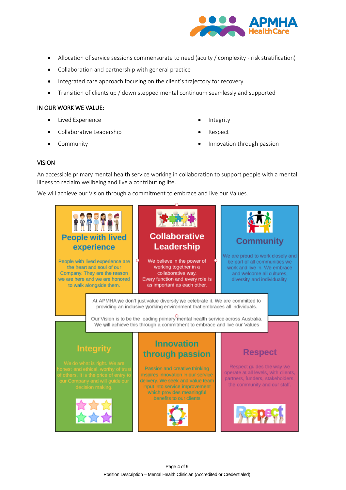

- Allocation of service sessions commensurate to need (acuity / complexity risk stratification)
- Collaboration and partnership with general practice
- Integrated care approach focusing on the client's trajectory for recovery
- Transition of clients up / down stepped mental continuum seamlessly and supported

#### IN OUR WORK WE VALUE:

- Lived Experience
- Collaborative Leadership
- **Community**
- **Integrity**
- Respect
- Innovation through passion

#### VISION

An accessible primary mental health service working in collaboration to support people with a mental illness to reclaim wellbeing and live a contributing life.

We will achieve our Vision through a commitment to embrace and live our Values.

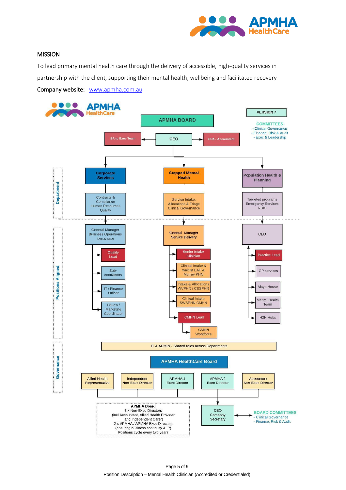

#### MISSION

To lead primary mental health care through the delivery of accessible, high-quality services in partnership with the client, supporting their mental health, wellbeing and facilitated recovery

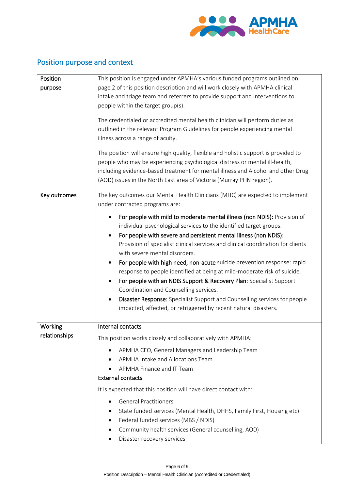

## Position purpose and context

| This position is engaged under APMHA's various funded programs outlined on<br>Position<br>page 2 of this position description and will work closely with APMHA clinical<br>purpose<br>intake and triage team and referrers to provide support and interventions to<br>people within the target group(s). |
|----------------------------------------------------------------------------------------------------------------------------------------------------------------------------------------------------------------------------------------------------------------------------------------------------------|
|                                                                                                                                                                                                                                                                                                          |
|                                                                                                                                                                                                                                                                                                          |
|                                                                                                                                                                                                                                                                                                          |
|                                                                                                                                                                                                                                                                                                          |
| The credentialed or accredited mental health clinician will perform duties as                                                                                                                                                                                                                            |
| outlined in the relevant Program Guidelines for people experiencing mental                                                                                                                                                                                                                               |
| illness across a range of acuity.                                                                                                                                                                                                                                                                        |
| The position will ensure high quality, flexible and holistic support is provided to                                                                                                                                                                                                                      |
| people who may be experiencing psychological distress or mental ill-health,                                                                                                                                                                                                                              |
| including evidence-based treatment for mental illness and Alcohol and other Drug                                                                                                                                                                                                                         |
| (AOD) issues in the North East area of Victoria (Murray PHN region).                                                                                                                                                                                                                                     |
|                                                                                                                                                                                                                                                                                                          |
| The key outcomes our Mental Health Clinicians (MHC) are expected to implement<br>Key outcomes                                                                                                                                                                                                            |
| under contracted programs are:                                                                                                                                                                                                                                                                           |
| For people with mild to moderate mental illness (non NDIS): Provision of                                                                                                                                                                                                                                 |
| individual psychological services to the identified target groups.                                                                                                                                                                                                                                       |
| For people with severe and persistent mental illness (non NDIS):<br>$\bullet$                                                                                                                                                                                                                            |
| Provision of specialist clinical services and clinical coordination for clients                                                                                                                                                                                                                          |
| with severe mental disorders.                                                                                                                                                                                                                                                                            |
| For people with high need, non-acute suicide prevention response: rapid                                                                                                                                                                                                                                  |
| response to people identified at being at mild-moderate risk of suicide.                                                                                                                                                                                                                                 |
| For people with an NDIS Support & Recovery Plan: Specialist Support<br>٠                                                                                                                                                                                                                                 |
| Coordination and Counselling services.                                                                                                                                                                                                                                                                   |
| Disaster Response: Specialist Support and Counselling services for people<br>$\bullet$                                                                                                                                                                                                                   |
| impacted, affected, or retriggered by recent natural disasters.                                                                                                                                                                                                                                          |
|                                                                                                                                                                                                                                                                                                          |
| Internal contacts<br>Working                                                                                                                                                                                                                                                                             |
| relationships<br>This position works closely and collaboratively with APMHA:                                                                                                                                                                                                                             |
| APMHA CEO, General Managers and Leadership Team<br>٠                                                                                                                                                                                                                                                     |
| APMHA Intake and Allocations Team                                                                                                                                                                                                                                                                        |
| APMHA Finance and IT Team                                                                                                                                                                                                                                                                                |
| <b>External contacts</b>                                                                                                                                                                                                                                                                                 |
| It is expected that this position will have direct contact with:                                                                                                                                                                                                                                         |
| <b>General Practitioners</b>                                                                                                                                                                                                                                                                             |
| State funded services (Mental Health, DHHS, Family First, Housing etc)                                                                                                                                                                                                                                   |
| Federal funded services (MBS / NDIS)<br>٠                                                                                                                                                                                                                                                                |
| Community health services (General counselling, AOD)<br>٠                                                                                                                                                                                                                                                |
| Disaster recovery services                                                                                                                                                                                                                                                                               |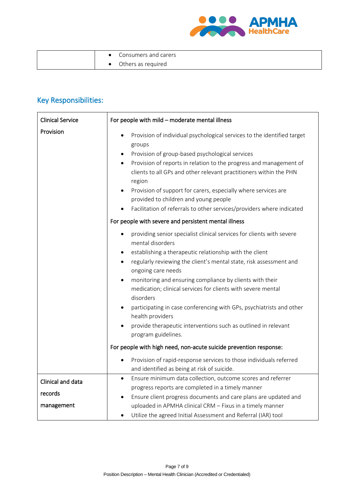

|  | Consumers and carers |
|--|----------------------|
|  | Others as required   |

## Key Responsibilities:

| <b>Clinical Service</b>      | For people with mild - moderate mental illness                                                                                                                                                                                                                                                                                                                                                                                                                                                                                                                                              |  |
|------------------------------|---------------------------------------------------------------------------------------------------------------------------------------------------------------------------------------------------------------------------------------------------------------------------------------------------------------------------------------------------------------------------------------------------------------------------------------------------------------------------------------------------------------------------------------------------------------------------------------------|--|
| Provision                    | Provision of individual psychological services to the identified target<br>groups<br>Provision of group-based psychological services<br>Provision of reports in relation to the progress and management of<br>$\bullet$<br>clients to all GPs and other relevant practitioners within the PHN<br>region<br>Provision of support for carers, especially where services are<br>provided to children and young people<br>Facilitation of referrals to other services/providers where indicated                                                                                                 |  |
|                              | For people with severe and persistent mental illness                                                                                                                                                                                                                                                                                                                                                                                                                                                                                                                                        |  |
|                              | providing senior specialist clinical services for clients with severe<br>mental disorders<br>establishing a therapeutic relationship with the client<br>regularly reviewing the client's mental state, risk assessment and<br>ongoing care needs<br>monitoring and ensuring compliance by clients with their<br>$\bullet$<br>medication; clinical services for clients with severe mental<br>disorders<br>participating in case conferencing with GPs, psychiatrists and other<br>health providers<br>provide therapeutic interventions such as outlined in relevant<br>program guidelines. |  |
|                              | For people with high need, non-acute suicide prevention response:                                                                                                                                                                                                                                                                                                                                                                                                                                                                                                                           |  |
|                              | Provision of rapid-response services to those individuals referred<br>and identified as being at risk of suicide.                                                                                                                                                                                                                                                                                                                                                                                                                                                                           |  |
| Clinical and data<br>records | Ensure minimum data collection, outcome scores and referrer<br>progress reports are completed in a timely manner<br>Ensure client progress documents and care plans are updated and                                                                                                                                                                                                                                                                                                                                                                                                         |  |
| management                   | uploaded in APMHA clinical CRM - Fixus in a timely manner<br>Utilize the agreed Initial Assessment and Referral (IAR) tool<br>٠                                                                                                                                                                                                                                                                                                                                                                                                                                                             |  |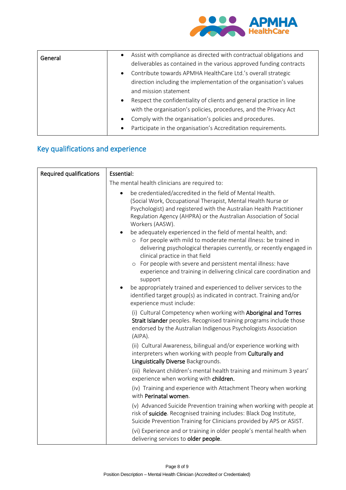

| General | $\bullet$ | Assist with compliance as directed with contractual obligations and |
|---------|-----------|---------------------------------------------------------------------|
|         |           | deliverables as contained in the various approved funding contracts |
|         | $\bullet$ | Contribute towards APMHA HealthCare Ltd.'s overall strategic        |
|         |           | direction including the implementation of the organisation's values |
|         |           | and mission statement                                               |
|         | $\bullet$ | Respect the confidentiality of clients and general practice in line |
|         |           | with the organisation's policies, procedures, and the Privacy Act   |
|         | $\bullet$ | Comply with the organisation's policies and procedures.             |
|         | $\bullet$ | Participate in the organisation's Accreditation requirements.       |

### Key qualifications and experience

| <b>Required qualifications</b> | Essential:                                                                                                                                                                                                                                                                                                                                                                                                                                                                                                                                                                                                                                                                                                                                                                                                                                                            |  |
|--------------------------------|-----------------------------------------------------------------------------------------------------------------------------------------------------------------------------------------------------------------------------------------------------------------------------------------------------------------------------------------------------------------------------------------------------------------------------------------------------------------------------------------------------------------------------------------------------------------------------------------------------------------------------------------------------------------------------------------------------------------------------------------------------------------------------------------------------------------------------------------------------------------------|--|
|                                | The mental health clinicians are required to:                                                                                                                                                                                                                                                                                                                                                                                                                                                                                                                                                                                                                                                                                                                                                                                                                         |  |
|                                | be credentialed/accredited in the field of Mental Health.<br>$\bullet$<br>(Social Work, Occupational Therapist, Mental Health Nurse or<br>Psychologist) and registered with the Australian Health Practitioner<br>Regulation Agency (AHPRA) or the Australian Association of Social<br>Workers (AASW).<br>be adequately experienced in the field of mental health, and:<br>$\bullet$<br>o For people with mild to moderate mental illness: be trained in<br>delivering psychological therapies currently, or recently engaged in<br>clinical practice in that field<br>o For people with severe and persistent mental illness: have<br>experience and training in delivering clinical care coordination and<br>support<br>be appropriately trained and experienced to deliver services to the<br>identified target group(s) as indicated in contract. Training and/or |  |
|                                | experience must include:<br>(i) Cultural Competency when working with Aboriginal and Torres<br>Strait Islander peoples. Recognised training programs include those<br>endorsed by the Australian Indigenous Psychologists Association<br>(AIPA).                                                                                                                                                                                                                                                                                                                                                                                                                                                                                                                                                                                                                      |  |
|                                | (ii) Cultural Awareness, bilingual and/or experience working with<br>interpreters when working with people from Culturally and<br>Linguistically Diverse Backgrounds.                                                                                                                                                                                                                                                                                                                                                                                                                                                                                                                                                                                                                                                                                                 |  |
|                                | (iii) Relevant children's mental health training and minimum 3 years'<br>experience when working with children.                                                                                                                                                                                                                                                                                                                                                                                                                                                                                                                                                                                                                                                                                                                                                       |  |
|                                | (iv) Training and experience with Attachment Theory when working<br>with Perinatal women.                                                                                                                                                                                                                                                                                                                                                                                                                                                                                                                                                                                                                                                                                                                                                                             |  |
|                                | (v) Advanced Suicide Prevention training when working with people at<br>risk of suicide. Recognised training includes: Black Dog Institute,<br>Suicide Prevention Training for Clinicians provided by APS or ASIST.                                                                                                                                                                                                                                                                                                                                                                                                                                                                                                                                                                                                                                                   |  |
|                                | (vi) Experience and or training in older people's mental health when<br>delivering services to older people.                                                                                                                                                                                                                                                                                                                                                                                                                                                                                                                                                                                                                                                                                                                                                          |  |